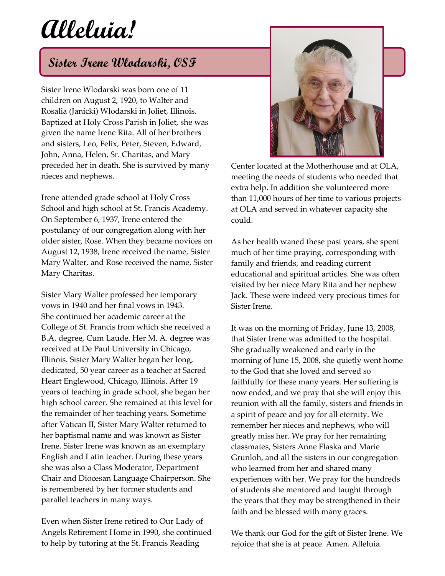## **Alleluia!**

## **Sister Irene Wlodarski, OSF**

Sister Irene Wlodarski was born one of 11 children on August 2, 1920, to Walter and Rosalia (Janicki) Wlodarski in Joliet, Illinois. Baptized at Holy Cross Parish in Joliet, she was given the name Irene Rita. All of her brothers and sisters, Leo, Felix, Peter, Steven, Edward, John, Anna, Helen, Sr. Charitas, and Mary preceded her in death. She is survived by many nieces and nephews.

Irene attended grade school at Holy Cross School and high school at St. Francis Academy. On September 6, 1937, Irene entered the postulancy of our congregation along with her older sister, Rose. When they became novices on August 12, 1938, Irene received the name, Sister Mary Walter, and Rose received the name, Sister Mary Charitas.

Sister Mary Walter professed her temporary vows in 1940 and her final vows in 1943. She continued her academic career at the College of St. Francis from which she received a B.A. degree, Cum Laude. Her M. A. degree was received at De Paul University in Chicago, Illinois. Sister Mary Walter began her long, dedicated, 50 year career as a teacher at Sacred Heart Englewood, Chicago, Illinois. After 19 years of teaching in grade school, she began her high school career. She remained at this level for the remainder of her teaching years. Sometime after Vatican II, Sister Mary Walter returned to her baptismal name and was known as Sister Irene. Sister Irene was known as an exemplary English and Latin teacher. During these years she was also a Class Moderator, Department Chair and Diocesan Language Chairperson. She is remembered by her former students and parallel teachers in many ways.

Even when Sister Irene retired to Our Lady of Angels Retirement Home in 1990, she continued to help by tutoring at the St. Francis Reading



Center located at the Motherhouse and at OLA, meeting the needs of students who needed that extra help. In addition she volunteered more than 11,000 hours of her time to various projects at OLA and served in whatever capacity she could.

As her health waned these past years, she spent much of her time praying, corresponding with family and friends, and reading current educational and spiritual articles. She was often visited by her niece Mary Rita and her nephew Jack. These were indeed very precious times for Sister Irene.

It was on the morning of Friday, June 13, 2008, that Sister Irene was admitted to the hospital. She gradually weakened and early in the morning of June 15, 2008, she quietly went home to the God that she loved and served so faithfully for these many years. Her suffering is now ended, and we pray that she will enjoy this reunion with all the family, sisters and friends in a spirit of peace and joy for all eternity. We remember her nieces and nephews, who will greatly miss her. We pray for her remaining classmates, Sisters Anne Flaska and Marie Grunloh, and all the sisters in our congregation who learned from her and shared many experiences with her. We pray for the hundreds of students she mentored and taught through the years that they may be strengthened in their faith and be blessed with many graces.

We thank our God for the gift of Sister Irene. We rejoice that she is at peace. Amen. Alleluia.